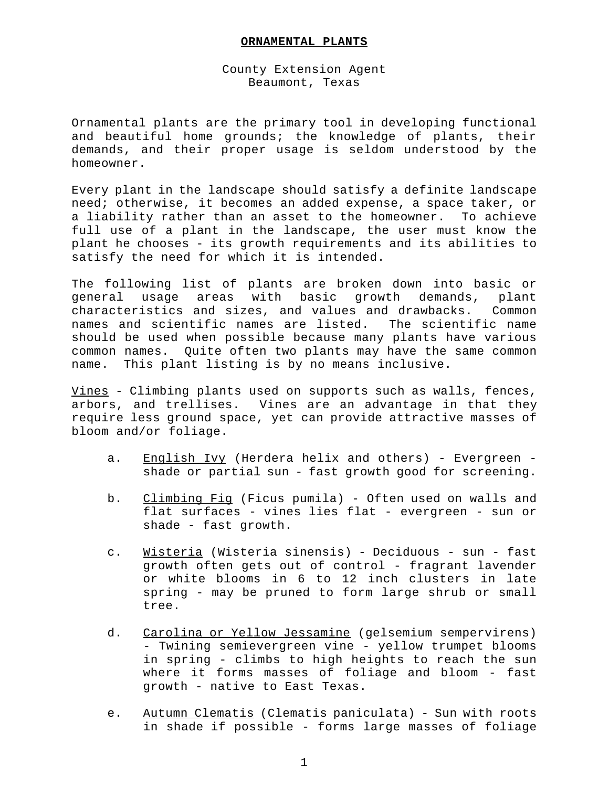## **ORNAMENTAL PLANTS**

## County Extension Agent Beaumont, Texas

Ornamental plants are the primary tool in developing functional and beautiful home grounds; the knowledge of plants, their demands, and their proper usage is seldom understood by the homeowner.

Every plant in the landscape should satisfy a definite landscape need; otherwise, it becomes an added expense, a space taker, or a liability rather than an asset to the homeowner. To achieve full use of a plant in the landscape, the user must know the plant he chooses - its growth requirements and its abilities to satisfy the need for which it is intended.

The following list of plants are broken down into basic or general usage areas with basic growth demands, plant characteristics and sizes, and values and drawbacks. Common names and scientific names are listed. The scientific name should be used when possible because many plants have various common names. Quite often two plants may have the same common name. This plant listing is by no means inclusive.

Vines - Climbing plants used on supports such as walls, fences, arbors, and trellises. Vines are an advantage in that they require less ground space, yet can provide attractive masses of bloom and/or foliage.

- a. English Ivy (Herdera helix and others) Evergreen shade or partial sun - fast growth good for screening.
- b. Climbing Fig (Ficus pumila) Often used on walls and flat surfaces - vines lies flat - evergreen - sun or shade - fast growth.
- c. Wisteria (Wisteria sinensis) Deciduous sun fast growth often gets out of control - fragrant lavender or white blooms in 6 to 12 inch clusters in late spring - may be pruned to form large shrub or small tree.
- d. Carolina or Yellow Jessamine (gelsemium sempervirens) - Twining semievergreen vine - yellow trumpet blooms in spring - climbs to high heights to reach the sun where it forms masses of foliage and bloom - fast growth - native to East Texas.
- e. Autumn Clematis (Clematis paniculata) Sun with roots in shade if possible - forms large masses of foliage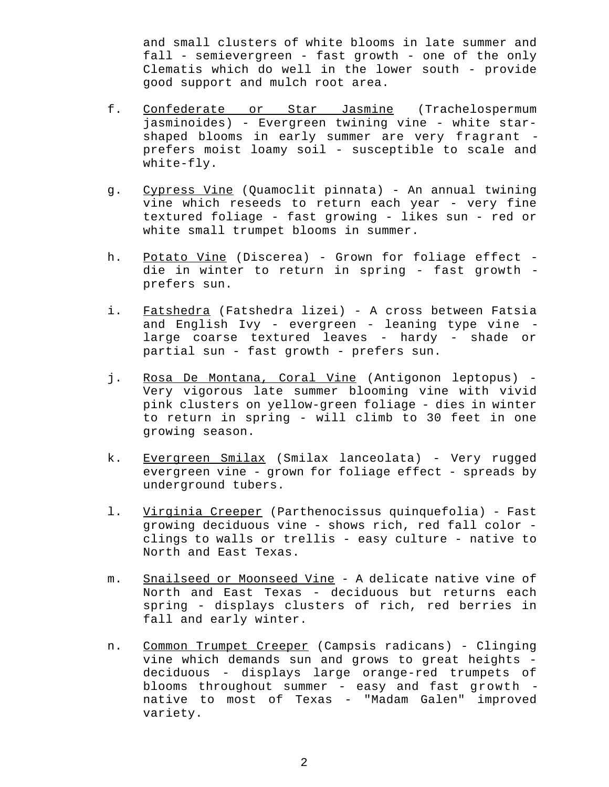and small clusters of white blooms in late summer and fall - semievergreen - fast growth - one of the only Clematis which do well in the lower south - provide good support and mulch root area.

- f. Confederate or Star Jasmine (Trachelospermum jasminoides) - Evergreen twining vine - white starshaped blooms in early summer are very fragrant prefers moist loamy soil - susceptible to scale and white-fly.
- g. Cypress Vine (Quamoclit pinnata) An annual twining vine which reseeds to return each year - very fine textured foliage - fast growing - likes sun - red or white small trumpet blooms in summer.
- h. Potato Vine (Discerea) Grown for foliage effect die in winter to return in spring - fast growth prefers sun.
- i. Fatshedra (Fatshedra lizei) A cross between Fatsia and English Ivy - evergreen - leaning type vine large coarse textured leaves - hardy - shade or partial sun - fast growth - prefers sun.
- j. Rosa De Montana, Coral Vine (Antigonon leptopus) Very vigorous late summer blooming vine with vivid pink clusters on yellow-green foliage - dies in winter to return in spring - will climb to 30 feet in one growing season.
- k. Evergreen Smilax (Smilax lanceolata) Very rugged evergreen vine - grown for foliage effect - spreads by underground tubers.
- 1. Virginia Creeper (Parthenocissus quinquefolia) Fast growing deciduous vine - shows rich, red fall color clings to walls or trellis - easy culture - native to North and East Texas.
- m. Snailseed or Moonseed Vine A delicate native vine of North and East Texas - deciduous but returns each spring - displays clusters of rich, red berries in fall and early winter.
- n. Common Trumpet Creeper (Campsis radicans) Clinging vine which demands sun and grows to great heights deciduous - displays large orange-red trumpets of blooms throughout summer - easy and fast growth native to most of Texas - "Madam Galen" improved variety.